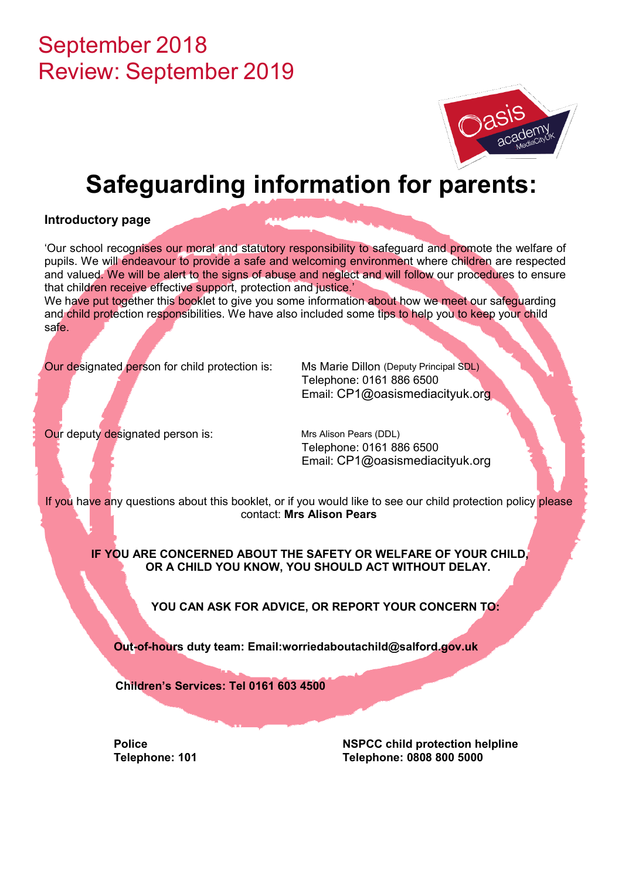## September 2018 Review: September 2019



# **Safeguarding information for parents:**

## **Introductory page**

'Our school recognises our moral and statutory responsibility to safeguard and promote the welfare of pupils. We will endeavour to provide a safe and welcoming environment where children are respected and valued. We will be alert to the signs of abuse and neglect and will follow our procedures to ensure that children receive effective support, protection and justice.'

We have put together this booklet to give you some information about how we meet our safeguarding and child protection responsibilities. We have also included some tips to help you to keep your child safe.

Our designated person for child protection is: Ms Marie Dillon (Deputy Principal SDL)

Telephone: 0161 886 6500 Email: CP1@oasismediacityuk.org

Our deputy designated person is: Mrs Alison Pears (DDL)

Telephone: 0161 886 6500 Email: CP1@oasismediacityuk.org

If you have any questions about this booklet, or if you would like to see our child protection policy please contact: **Mrs Alison Pears**

**IF YOU ARE CONCERNED ABOUT THE SAFETY OR WELFARE OF YOUR CHILD, OR A CHILD YOU KNOW, YOU SHOULD ACT WITHOUT DELAY.**

**YOU CAN ASK FOR ADVICE, OR REPORT YOUR CONCERN TO:** 

**Out-of-hours duty team: Email:worriedaboutachild@salford.gov.uk**

 **Children's Services: Tel 0161 603 4500** 

**Police NSPCC child protection helpline Telephone: 101 Telephone: 0808 800 5000**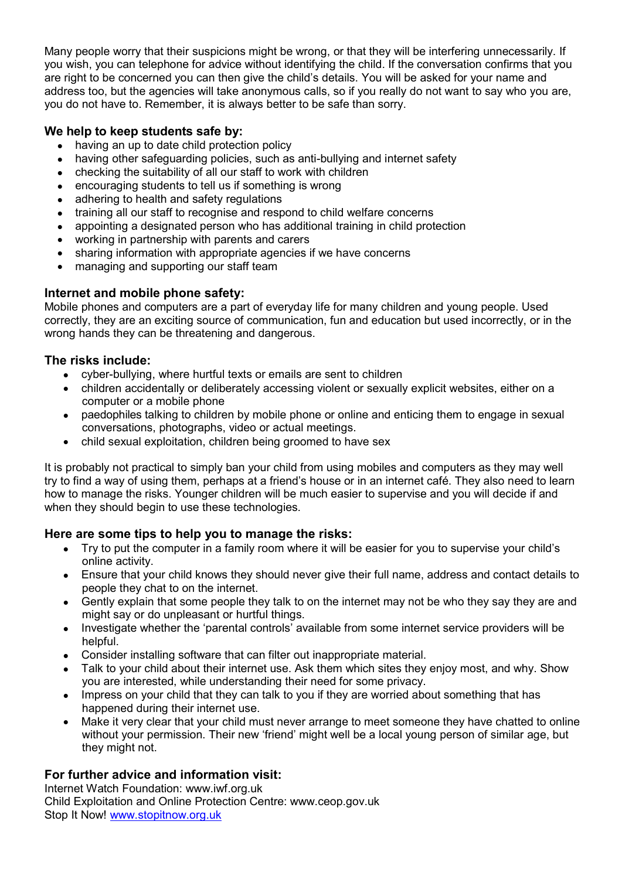Many people worry that their suspicions might be wrong, or that they will be interfering unnecessarily. If you wish, you can telephone for advice without identifying the child. If the conversation confirms that you are right to be concerned you can then give the child's details. You will be asked for your name and address too, but the agencies will take anonymous calls, so if you really do not want to say who you are, you do not have to. Remember, it is always better to be safe than sorry.

## **We help to keep students safe by:**

- having an up to date child protection policy
- having other safeguarding policies, such as anti-bullying and internet safety
- checking the suitability of all our staff to work with children
- encouraging students to tell us if something is wrong
- adhering to health and safety regulations
- training all our staff to recognise and respond to child welfare concerns
- appointing a designated person who has additional training in child protection
- working in partnership with parents and carers
- sharing information with appropriate agencies if we have concerns
- managing and supporting our staff team

## **Internet and mobile phone safety:**

Mobile phones and computers are a part of everyday life for many children and young people. Used correctly, they are an exciting source of communication, fun and education but used incorrectly, or in the wrong hands they can be threatening and dangerous.

## **The risks include:**

- cyber-bullying, where hurtful texts or emails are sent to children
- children accidentally or deliberately accessing violent or sexually explicit websites, either on a computer or a mobile phone
- paedophiles talking to children by mobile phone or online and enticing them to engage in sexual conversations, photographs, video or actual meetings.
- child sexual exploitation, children being groomed to have sex

It is probably not practical to simply ban your child from using mobiles and computers as they may well try to find a way of using them, perhaps at a friend's house or in an internet café. They also need to learn how to manage the risks. Younger children will be much easier to supervise and you will decide if and when they should begin to use these technologies.

## **Here are some tips to help you to manage the risks:**

- Try to put the computer in a family room where it will be easier for you to supervise your child's online activity.
- Ensure that your child knows they should never give their full name, address and contact details to people they chat to on the internet.
- Gently explain that some people they talk to on the internet may not be who they say they are and might say or do unpleasant or hurtful things.
- Investigate whether the 'parental controls' available from some internet service providers will be helpful.
- Consider installing software that can filter out inappropriate material.
- Talk to your child about their internet use. Ask them which sites they enjoy most, and why. Show you are interested, while understanding their need for some privacy.
- Impress on your child that they can talk to you if they are worried about something that has happened during their internet use.
- Make it very clear that your child must never arrange to meet someone they have chatted to online without your permission. Their new 'friend' might well be a local young person of similar age, but they might not.

## **For further advice and information visit:**

Internet Watch Foundation: www.iwf.org.uk Child Exploitation and Online Protection Centre: www.ceop.gov.uk Stop It Now! www.stopitnow.org.uk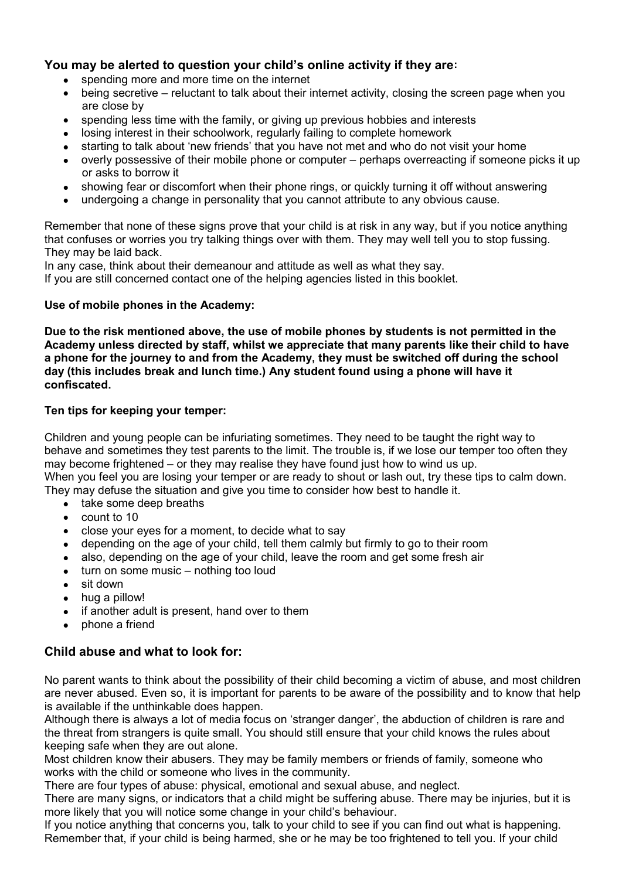#### **You may be alerted to question your child's online activity if they are:**

- spending more and more time on the internet
- being secretive reluctant to talk about their internet activity, closing the screen page when you are close by
- spending less time with the family, or giving up previous hobbies and interests
- losing interest in their schoolwork, regularly failing to complete homework
- starting to talk about 'new friends' that you have not met and who do not visit your home
- overly possessive of their mobile phone or computer perhaps overreacting if someone picks it up or asks to borrow it
- showing fear or discomfort when their phone rings, or quickly turning it off without answering
- undergoing a change in personality that you cannot attribute to any obvious cause.

Remember that none of these signs prove that your child is at risk in any way, but if you notice anything that confuses or worries you try talking things over with them. They may well tell you to stop fussing. They may be laid back.

In any case, think about their demeanour and attitude as well as what they say.

If you are still concerned contact one of the helping agencies listed in this booklet.

#### **Use of mobile phones in the Academy:**

**Due to the risk mentioned above, the use of mobile phones by students is not permitted in the Academy unless directed by staff, whilst we appreciate that many parents like their child to have a phone for the journey to and from the Academy, they must be switched off during the school day (this includes break and lunch time.) Any student found using a phone will have it confiscated.**

#### **Ten tips for keeping your temper:**

Children and young people can be infuriating sometimes. They need to be taught the right way to behave and sometimes they test parents to the limit. The trouble is, if we lose our temper too often they may become frightened – or they may realise they have found just how to wind us up. When you feel you are losing your temper or are ready to shout or lash out, try these tips to calm down. They may defuse the situation and give you time to consider how best to handle it.

- take some deep breaths
- count to 10
- close your eyes for a moment, to decide what to say
- depending on the age of your child, tell them calmly but firmly to go to their room
- also, depending on the age of your child, leave the room and get some fresh air
- turn on some music nothing too loud
- sit down
- hug a pillow!
- if another adult is present, hand over to them
- phone a friend

#### **Child abuse and what to look for:**

No parent wants to think about the possibility of their child becoming a victim of abuse, and most children are never abused. Even so, it is important for parents to be aware of the possibility and to know that help is available if the unthinkable does happen.

Although there is always a lot of media focus on 'stranger danger', the abduction of children is rare and the threat from strangers is quite small. You should still ensure that your child knows the rules about keeping safe when they are out alone.

Most children know their abusers. They may be family members or friends of family, someone who works with the child or someone who lives in the community.

There are four types of abuse: physical, emotional and sexual abuse, and neglect.

There are many signs, or indicators that a child might be suffering abuse. There may be injuries, but it is more likely that you will notice some change in your child's behaviour.

If you notice anything that concerns you, talk to your child to see if you can find out what is happening. Remember that, if your child is being harmed, she or he may be too frightened to tell you. If your child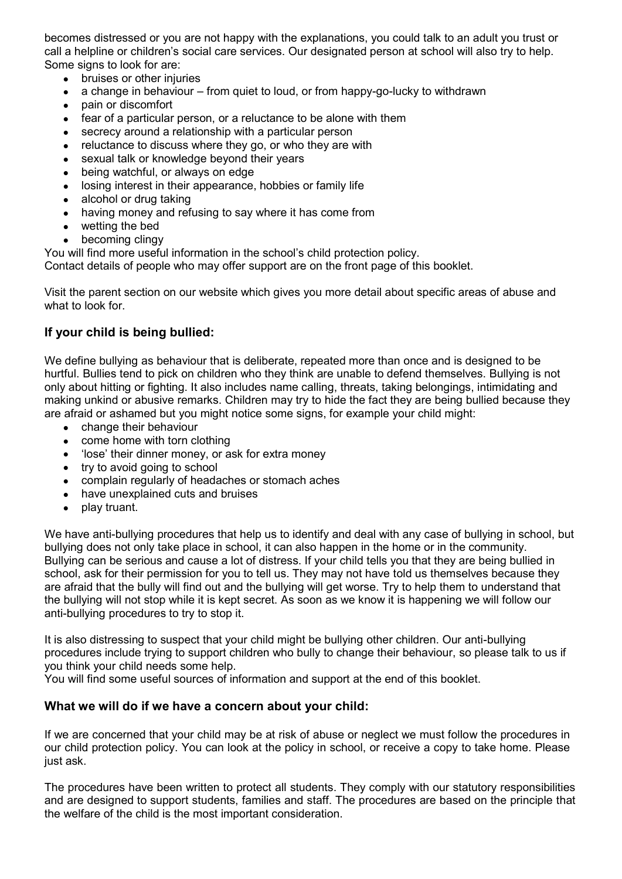becomes distressed or you are not happy with the explanations, you could talk to an adult you trust or call a helpline or children's social care services. Our designated person at school will also try to help. Some signs to look for are:

- bruises or other injuries
- a change in behaviour from quiet to loud, or from happy-go-lucky to withdrawn
- pain or discomfort
- fear of a particular person, or a reluctance to be alone with them
- secrecy around a relationship with a particular person
- reluctance to discuss where they go, or who they are with
- sexual talk or knowledge beyond their years
- being watchful, or always on edge
- losing interest in their appearance, hobbies or family life
- alcohol or drug taking
- having money and refusing to say where it has come from
- wetting the bed
- becoming clingy

You will find more useful information in the school's child protection policy.

Contact details of people who may offer support are on the front page of this booklet.

Visit the parent section on our website which gives you more detail about specific areas of abuse and what to look for

#### **If your child is being bullied:**

We define bullying as behaviour that is deliberate, repeated more than once and is designed to be hurtful. Bullies tend to pick on children who they think are unable to defend themselves. Bullying is not only about hitting or fighting. It also includes name calling, threats, taking belongings, intimidating and making unkind or abusive remarks. Children may try to hide the fact they are being bullied because they are afraid or ashamed but you might notice some signs, for example your child might:

- change their behaviour
- come home with torn clothing
- 'lose' their dinner money, or ask for extra money
- try to avoid going to school
- complain regularly of headaches or stomach aches
- have unexplained cuts and bruises
- play truant.

We have anti-bullying procedures that help us to identify and deal with any case of bullying in school, but bullying does not only take place in school, it can also happen in the home or in the community. Bullying can be serious and cause a lot of distress. If your child tells you that they are being bullied in school, ask for their permission for you to tell us. They may not have told us themselves because they are afraid that the bully will find out and the bullying will get worse. Try to help them to understand that the bullying will not stop while it is kept secret. As soon as we know it is happening we will follow our anti-bullying procedures to try to stop it.

It is also distressing to suspect that your child might be bullying other children. Our anti-bullying procedures include trying to support children who bully to change their behaviour, so please talk to us if you think your child needs some help.

You will find some useful sources of information and support at the end of this booklet.

#### **What we will do if we have a concern about your child:**

If we are concerned that your child may be at risk of abuse or neglect we must follow the procedures in our child protection policy. You can look at the policy in school, or receive a copy to take home. Please just ask.

The procedures have been written to protect all students. They comply with our statutory responsibilities and are designed to support students, families and staff. The procedures are based on the principle that the welfare of the child is the most important consideration.